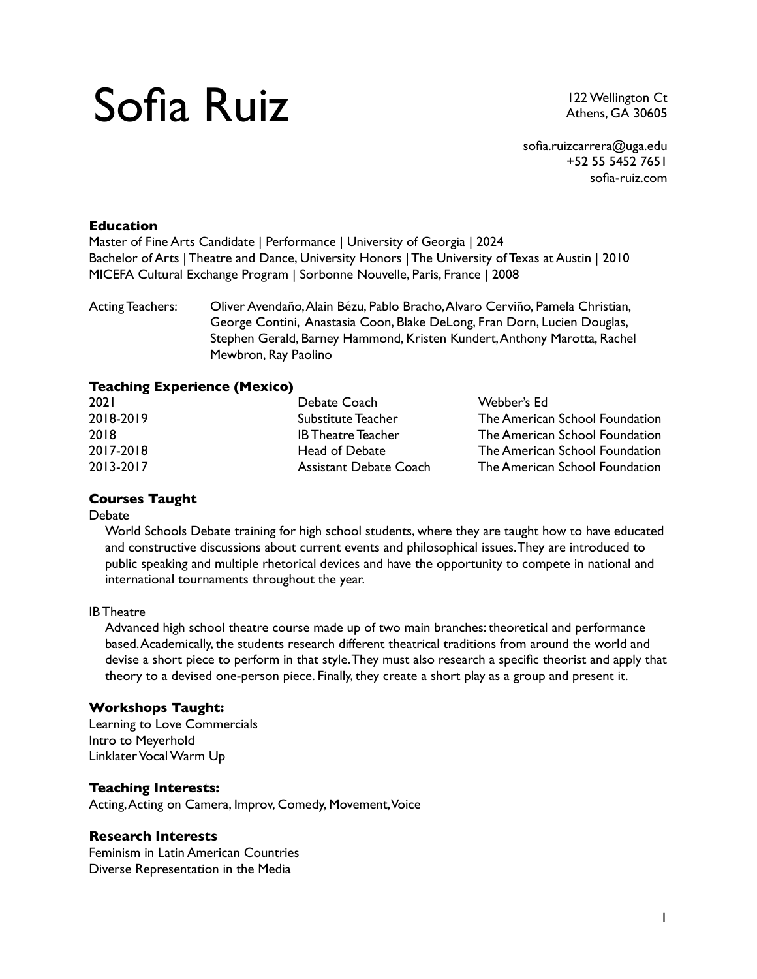# Sofia Ruiz

122 Wellington Ct Athens, GA 30605

# **Education**

Master of Fine Arts Candidate | Performance | University of Georgia | 2024 Bachelor of Arts | Theatre and Dance, University Honors | The University of Texas at Austin | 2010 MICEFA Cultural Exchange Program | Sorbonne Nouvelle, Paris, France | 2008

Acting Teachers: Oliver Avendaño, Alain Bézu, Pablo Bracho, Alvaro Cerviño, Pamela Christian, George Contini, Anastasia Coon, Blake DeLong, Fran Dorn, Lucien Douglas, Stephen Gerald, Barney Hammond, Kristen Kundert, Anthony Marotta, Rachel Mewbron, Ray Paolino

# **Teaching Experience (Mexico)**

| <b>2021</b> | Debate Coach                  | Webber's Ed                    |
|-------------|-------------------------------|--------------------------------|
| 2018-2019   | Substitute Teacher            | The American School Foundation |
| 2018        | <b>IB Theatre Teacher</b>     | The American School Foundation |
| 2017-2018   | Head of Debate                | The American School Foundation |
| 2013-2017   | <b>Assistant Debate Coach</b> | The American School Foundation |

# **Courses Taught**

#### **Debate**

World Schools Debate training for high school students, where they are taught how to have educated and constructive discussions about current events and philosophical issues. They are introduced to public speaking and multiple rhetorical devices and have the opportunity to compete in national and international tournaments throughout the year.

IB Theatre

Advanced high school theatre course made up of two main branches: theoretical and performance based. Academically, the students research different theatrical traditions from around the world and devise a short piece to perform in that style. They must also research a specific theorist and apply that theory to a devised one-person piece. Finally, they create a short play as a group and present it.

#### **Workshops Taught:**

Learning to Love Commercials Intro to Meyerhold Linklater Vocal Warm Up

# **Teaching Interests:**

Acting, Acting on Camera, Improv, Comedy, Movement, Voice

#### **Research Interests**

Feminism in Latin American Countries Diverse Representation in the Media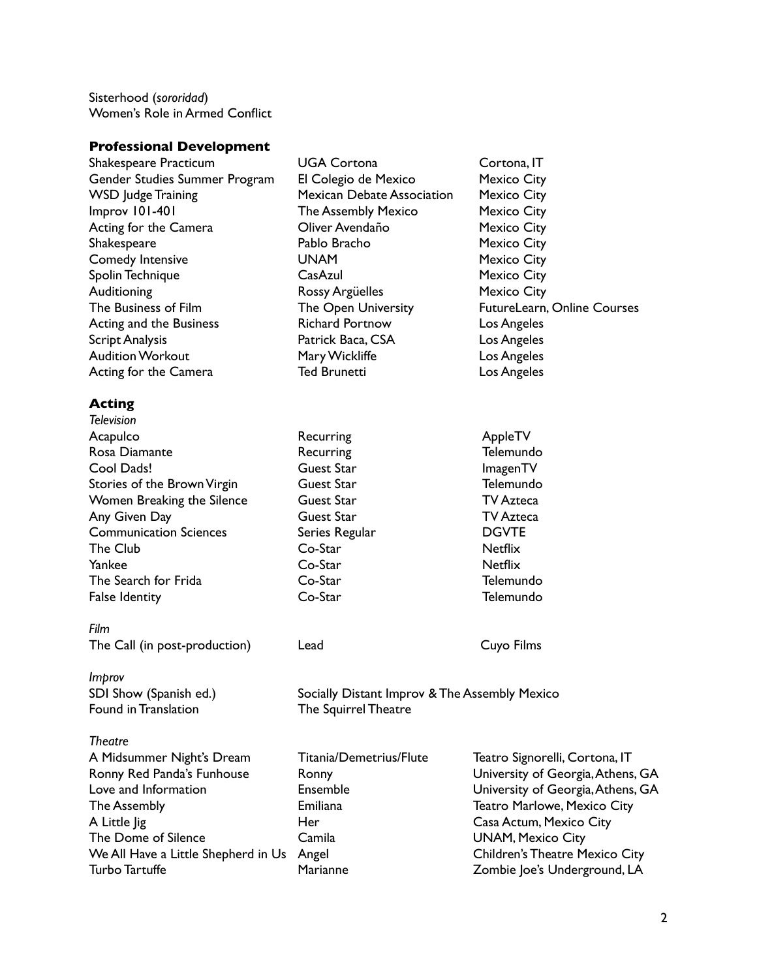Sisterhood (*sororidad*) Women's Role in Armed Conflict

#### **Professional Development**

| Shakespeare Practicum         | <b>UGA Cortona</b>                                                    | Cortona, IT                 |  |
|-------------------------------|-----------------------------------------------------------------------|-----------------------------|--|
| Gender Studies Summer Program | El Colegio de Mexico                                                  | <b>Mexico City</b>          |  |
| <b>WSD Judge Training</b>     | <b>Mexican Debate Association</b>                                     | Mexico City                 |  |
| Improv 101-401                | <b>The Assembly Mexico</b>                                            | Mexico City                 |  |
| Acting for the Camera         | Oliver Avendaño                                                       | Mexico City                 |  |
| Shakespeare                   | Pablo Bracho                                                          | Mexico City                 |  |
| Comedy Intensive              | <b>UNAM</b>                                                           | <b>Mexico City</b>          |  |
| Spolin Technique              | CasAzul                                                               | Mexico City                 |  |
| <b>Auditioning</b>            | <b>Rossy Argüelles</b>                                                | Mexico City                 |  |
| The Business of Film          | The Open University                                                   | FutureLearn, Online Courses |  |
| Acting and the Business       | <b>Richard Portnow</b>                                                | Los Angeles                 |  |
| <b>Script Analysis</b>        | Patrick Baca, CSA                                                     | Los Angeles                 |  |
| <b>Audition Workout</b>       | Mary Wickliffe                                                        | Los Angeles                 |  |
| Acting for the Camera         | <b>Ted Brunetti</b>                                                   | Los Angeles                 |  |
| Acting                        |                                                                       |                             |  |
| <b>Television</b>             |                                                                       |                             |  |
| Acapulco                      | Recurring                                                             | AppleTV                     |  |
| Rosa Diamante                 | Recurring                                                             | Telemundo                   |  |
| Cool Dads!                    | Guest Star                                                            | ImagenTV                    |  |
| Stories of the Brown Virgin   | Guest Star                                                            | Telemundo                   |  |
| Women Breaking the Silence    | Guest Star                                                            | <b>TV Azteca</b>            |  |
| Any Given Day                 | Guest Star                                                            | <b>TV Azteca</b>            |  |
| <b>Communication Sciences</b> | Series Regular                                                        | <b>DGVTE</b>                |  |
| The Club                      | Co-Star                                                               | <b>Netflix</b>              |  |
| Yankee                        | Co-Star                                                               | <b>Netflix</b>              |  |
| The Search for Frida          | Co-Star                                                               | Telemundo                   |  |
| <b>False Identity</b>         | Co-Star                                                               | Telemundo                   |  |
| Film                          |                                                                       |                             |  |
| The Call (in post-production) | Lead                                                                  | Cuyo Films                  |  |
| Improv                        |                                                                       |                             |  |
| SDI Show (Spanish ed.)        | Socially Distant Improv & The Assembly Mexico<br>The Squirrel Theatre |                             |  |
| Found in Translation          |                                                                       |                             |  |
| <b>Theatre</b>                |                                                                       |                             |  |

| A Midsummer Night's Dream          |  |
|------------------------------------|--|
| Ronny Red Panda's Funhouse         |  |
| Love and Information               |  |
| The Assembly                       |  |
| A Little lig                       |  |
| The Dome of Silence                |  |
| We All Have a Little Shepherd in U |  |
| <b>Turbo Tartuffe</b>              |  |

Titania/Demetrius/Flute Teatro Signorelli, Cortona, IT Ronny **Ronny Example 2** Funiversity of Georgia, Athens, GA Ensemble University of Georgia, Athens, GA Emiliana **Teatro Marlowe, Mexico City** Her Casa Actum, Mexico City Camila **UNAM, Mexico City We Angel Children's Theatre Mexico City** Marianne **Turbo Tartuffe Marianne** Zombie Joe's Underground, LA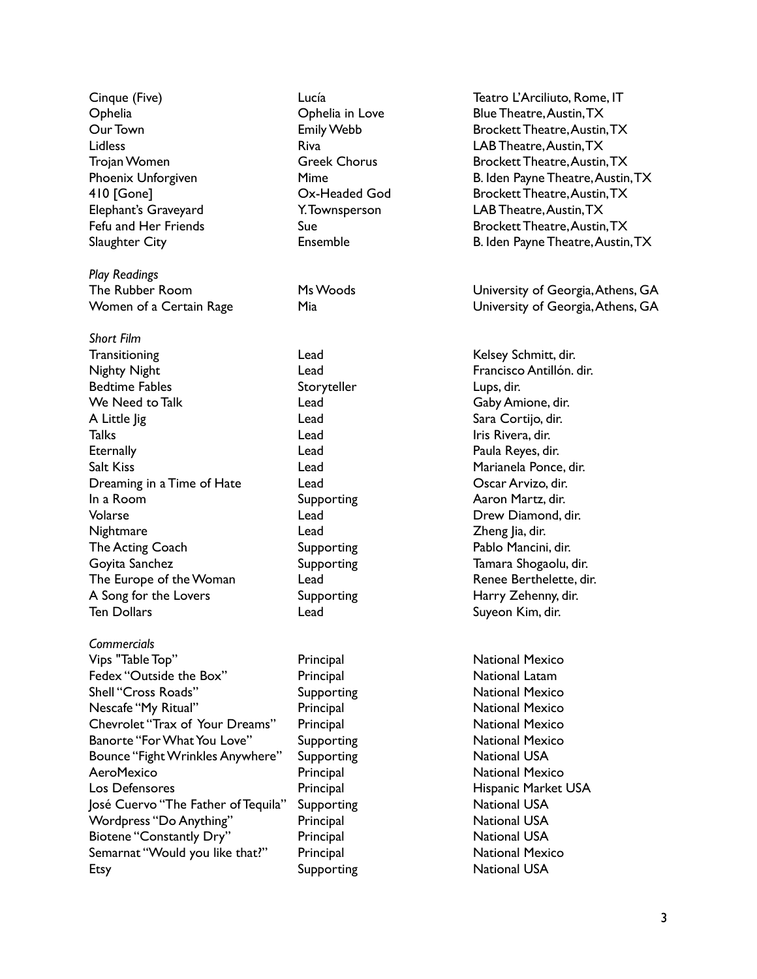Cinque (Five) Lucía Teatro L'Arciliuto, Rome, IT Ophelia Ophelia in Love Blue Theatre, Austin, TX Our Town **Emily Webb** Brockett Theatre, Austin, TX Lidless Riva LAB Theatre, Austin, TX Trojan Women Greek Chorus Brockett Theatre, Austin, TX Phoenix Unforgiven **Example 20 Find Payne Theatre, Austin, TX** Phoenix Unforgiven 410 [Gone] Ox-Headed God Brockett Theatre, Austin, TX Elephant's Graveyard Y. Townsperson LAB Theatre, Austin, TX Fefu and Her Friends Sue Brockett Theatre, Austin, TX Slaughter City **Ensemble** Ensemble B. Iden Payne Theatre, Austin, TX *Play Readings* The Rubber Room Ms Woods University of Georgia, Athens, GA Women of a Certain Rage Mia Mia University of Georgia, Athens, GA *Short Film* Transitioning Transitioning Charles Lead Castle and Kelsey Schmitt, dir. Nighty Night Lead Francisco Antillón. dir. Bedtime Fables Storyteller Storyteller Eups, dir. We Need to Talk Lead Gaby Amione, dir. A Little Jig November 2012 Lead Cortigo, dir. Talks **Talks** Lead **Lead** Iris Rivera, dir. Eternally **Exercise Contract Contract Contract Contract Contract Contract Contract Contract Contract Contract Contract Contract Contract Contract Contract Contract Contract Contract Contract Contract Contract Contract Cont** Salt Kiss Lead Marianela Ponce, dir. Dreaming in a Time of Hate Lead Coscar Arvizo, dir. In a Room **Supporting Aaron Martz, dir.** Supporting Aaron Martz, dir. Volarse Lead Drew Diamond, dir. Nightmare Lead Zheng Jia, dir. The Acting Coach Supporting Pablo Mancini, dir. Goyita Sanchez **Supporting** Supporting Tamara Shogaolu, dir. The Europe of the Woman Lead Lead Renee Berthelette, dir. A Song for the Lovers Supporting Form Harry Zehenny, dir. Ten Dollars **Suyeon Kim, dir.** Cead Controller Lead Suyeon Kim, dir. *Commercials* Vips "Table Top" Principal National Mexico Fedex "Outside the Box" Principal Principal National Latam Shell "Cross Roads" Supporting Supporting National Mexico Nescafe "My Ritual" **Principal** Principal National Mexico Chevrolet "Trax of Your Dreams" Principal National Mexico Banorte "For What You Love" Supporting Support National Mexico Bounce "Fight Wrinkles Anywhere" Supporting National USA AeroMexico **Principal Principal National Mexico** Los Defensores **Principal** Principal Hispanic Market USA José Cuervo "The Father of Tequila" Supporting National USA Wordpress "Do Anything" Principal Principal National USA Biotene "Constantly Dry" Principal Principal National USA Semarnat "Would you like that?" Principal National Mexico

Etsy **Supporting** Supporting National USA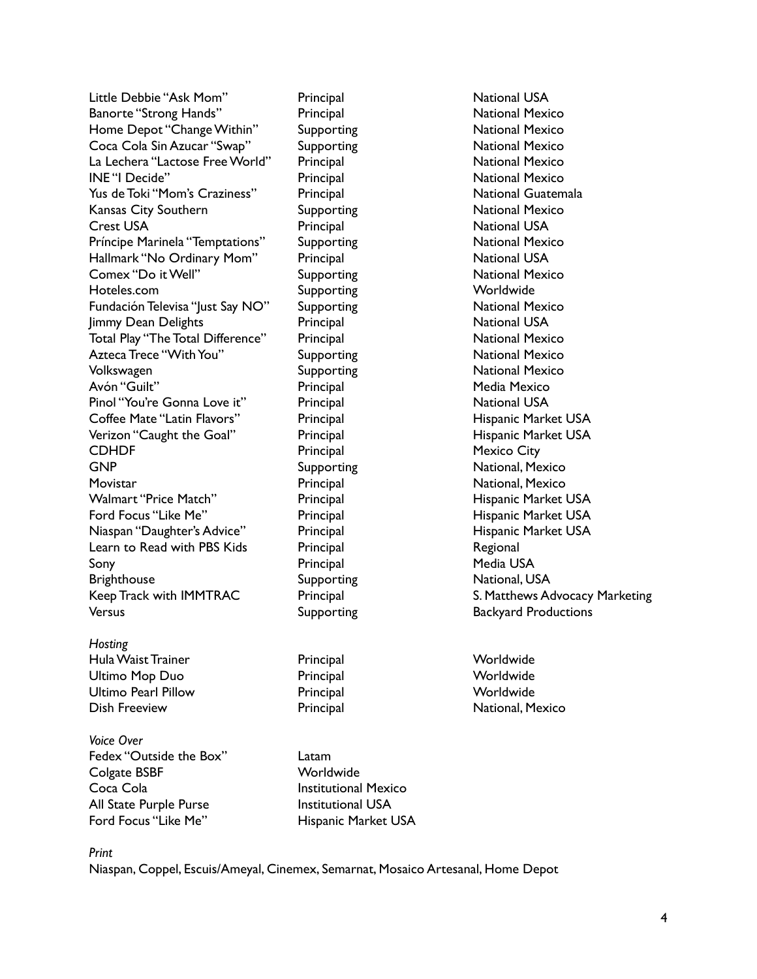Little Debbie "Ask Mom" Principal National USA Banorte "Strong Hands" Principal Principal National Mexico Home Depot "Change Within" Supporting National Mexico Coca Cola Sin Azucar "Swap" Supporting National Mexico La Lechera "Lactose Free World" Principal National Mexico INE "I Decide" **Principal** Principal National Mexico Yus de Toki "Mom's Craziness" Principal National Guatemala Kansas City Southern **Supporting** Supporting National Mexico **Crest USA** Principal Principal National USA Príncipe Marinela "Temptations" Supporting National Mexico Hallmark "No Ordinary Mom" Principal National USA Comex "Do it Well" Supporting Supporting National Mexico Hoteles.com Supporting Worldwide Fundación Televisa "Just Say NO" Supporting National Mexico Immy Dean Delights **National Communist Principal** National USA Total Play "The Total Difference" Principal National Mexico Azteca Trece "With You" Supporting Supporting National Mexico Volkswagen **Supporting** Supporting National Mexico Avón "Guilt" Principal Principal Media Mexico Pinol "You're Gonna Love it" Principal Philosophy National USA Coffee Mate "Latin Flavors" Principal Principal Hispanic Market USA Verizon "Caught the Goal" Principal Principal Hispanic Market USA CDHDF Principal Mexico City GNP Supporting Supporting National, Mexico Movistar **Movistar** Principal Principal Mational, Mexico Walmart "Price Match" Principal Principal Hispanic Market USA Ford Focus "Like Me" **Principal** Principal Hispanic Market USA Niaspan "Daughter's Advice" Principal Hispanic Market USA Learn to Read with PBS Kids<br>
Principal Regional Sony **Principal** Principal Media USA Brighthouse Supporting Supporting National, USA Keep Track with IMMTRAC Principal Principal S. Matthews Advocacy Marketing Versus **Supporting** Backyard Productions

*Hosting*

Hula Waist Trainer **Principal** Principal Worldwide Ultimo Mop Duo Principal Worldwide Ultimo Pearl Pillow Principal Worldwide Dish Freeview **Principal Community** Principal National, Mexico

*Voice Over* Fedex "Outside the Box" Latam Colgate BSBF Worldwide Coca Cola **Institutional Mexico** All State Purple Purse **Institutional USA** Ford Focus "Like Me" Hispanic Market USA

*Print*

Niaspan, Coppel, Escuis/Ameyal, Cinemex, Semarnat, Mosaico Artesanal, Home Depot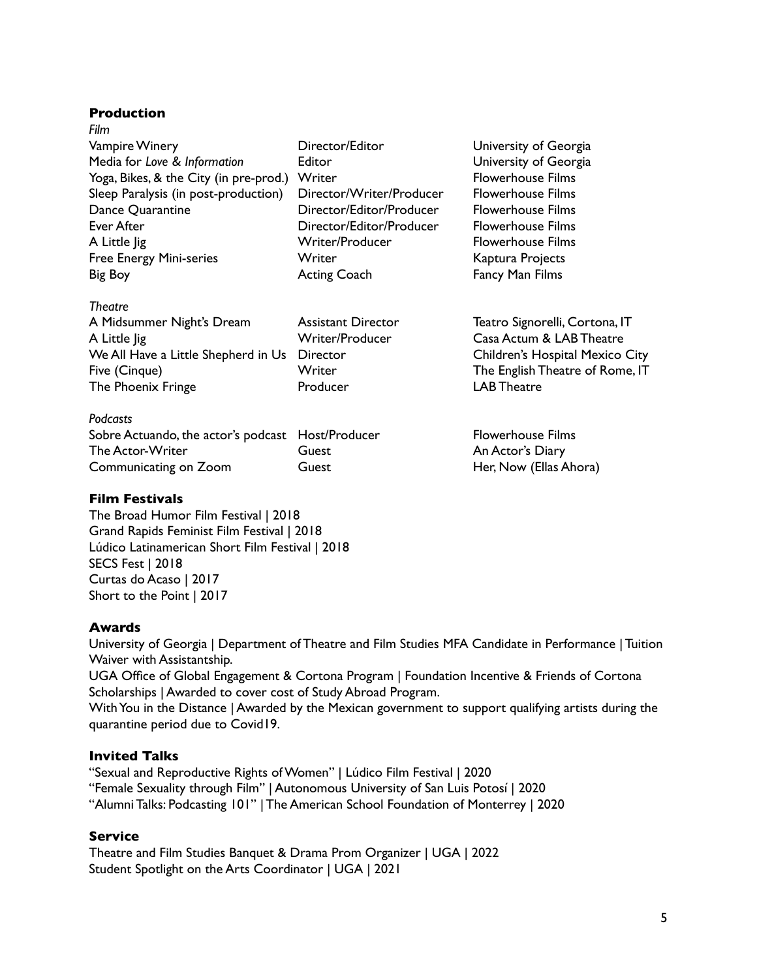# **Production**

| Film                                   |                          |
|----------------------------------------|--------------------------|
| <b>Vampire Winery</b>                  | Director/Editor          |
| Media for Love & Information           | Editor                   |
| Yoga, Bikes, & the City (in pre-prod.) | Writer                   |
| Sleep Paralysis (in post-production)   | Director/Writer/Produce  |
| Dance Quarantine                       | Director/Editor/Producer |
| Ever After                             | Director/Editor/Producer |
| A Little lig                           | Writer/Producer          |
| <b>Free Energy Mini-series</b>         | Writer                   |
| Big Boy                                | <b>Acting Coach</b>      |
|                                        |                          |

# *Theatre*

| A٤ |
|----|
| w  |
| Di |
| w  |
| Pr |
|    |

#### *Podcasts*

| .                                                 |       |
|---------------------------------------------------|-------|
| Sobre Actuando, the actor's podcast Host/Producer |       |
| The Actor-Writer                                  | Guest |
| Communicating on Zoom                             | Guest |

# **Film Festivals**

The Broad Humor Film Festival | 2018 Grand Rapids Feminist Film Festival | 2018 Lúdico Latinamerican Short Film Festival | 2018 SECS Fest | 2018 Curtas do Acaso | 2017 Short to the Point | 2017

# **Awards**

University of Georgia | Department of Theatre and Film Studies MFA Candidate in Performance | Tuition Waiver with Assistantship. UGA Office of Global Engagement & Cortona Program | Foundation Incentive & Friends of Cortona Scholarships | Awarded to cover cost of Study Abroad Program.

With You in the Distance | Awarded by the Mexican government to support qualifying artists during the quarantine period due to Covid19.

# **Invited Talks**

"Sexual and Reproductive Rights of Women" | Lúdico Film Festival | 2020 "Female Sexuality through Film" | Autonomous University of San Luis Potosí | 2020 "Alumni Talks: Podcasting 101" | The American School Foundation of Monterrey | 2020

# **Service**

Theatre and Film Studies Banquet & Drama Prom Organizer | UGA | 2022 Student Spotlight on the Arts Coordinator | UGA | 2021

University of Georgia **University of Georgia** Flowerhouse Films er Flowerhouse Films **Elowerhouse Films** r Flowerhouse Films **Flowerhouse Films** Kaptura Projects Fancy Man Films

ssistant Director Teatro Signorelli, Cortona, IT riter/Producer Casa Actum & LAB Theatre Intector **Exercise Shepherd** Children's Hospital Mexico City Fiter The English Theatre of Rome, IT The Phoenix Friends Friends Friends Friends Producer LAB Theatre

> Flowerhouse Films An Actor's Diary Her, Now (Ellas Ahora)